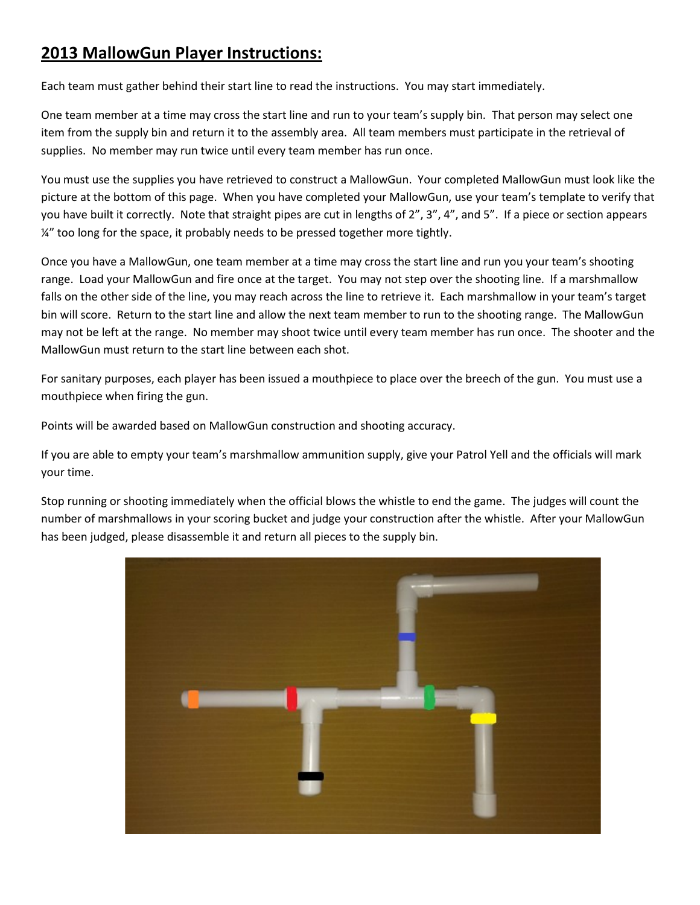## **2013 MallowGun Player Instructions:**

Each team must gather behind their start line to read the instructions. You may start immediately.

One team member at a time may cross the start line and run to your team's supply bin. That person may select one item from the supply bin and return it to the assembly area. All team members must participate in the retrieval of supplies. No member may run twice until every team member has run once.

You must use the supplies you have retrieved to construct a MallowGun. Your completed MallowGun must look like the picture at the bottom of this page. When you have completed your MallowGun, use your team's template to verify that you have built it correctly. Note that straight pipes are cut in lengths of 2", 3", 4", and 5". If a piece or section appears ¼" too long for the space, it probably needs to be pressed together more tightly.

Once you have a MallowGun, one team member at a time may cross the start line and run you your team's shooting range. Load your MallowGun and fire once at the target. You may not step over the shooting line. If a marshmallow falls on the other side of the line, you may reach across the line to retrieve it. Each marshmallow in your team's target bin will score. Return to the start line and allow the next team member to run to the shooting range. The MallowGun may not be left at the range. No member may shoot twice until every team member has run once. The shooter and the MallowGun must return to the start line between each shot.

For sanitary purposes, each player has been issued a mouthpiece to place over the breech of the gun. You must use a mouthpiece when firing the gun.

Points will be awarded based on MallowGun construction and shooting accuracy.

If you are able to empty your team's marshmallow ammunition supply, give your Patrol Yell and the officials will mark your time.

Stop running or shooting immediately when the official blows the whistle to end the game. The judges will count the number of marshmallows in your scoring bucket and judge your construction after the whistle. After your MallowGun has been judged, please disassemble it and return all pieces to the supply bin.